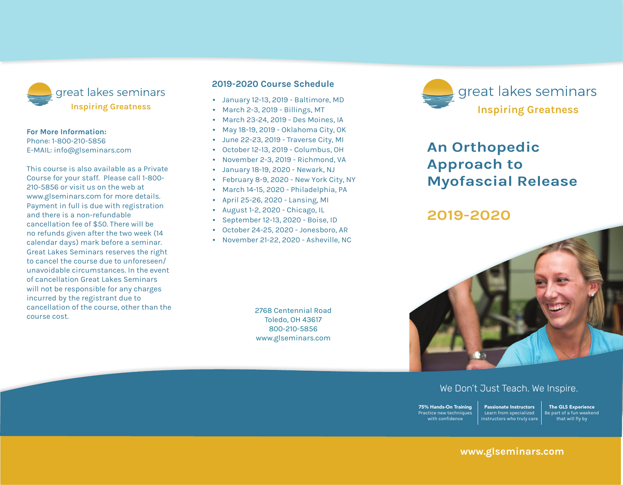

#### **For More Information:**

Phone: 1-800-210-5856 E-mail: info@glseminars.com

Payment in full is due with registration and there is a non-refundable cancellation fee of \$50. There will be no refunds given within two weeks (14 calendar days) of the seminar. Great Lakes Seminars reserves the right to cancel the course due to unforeseen/ unavoidable circumstances. In the event of a cancellation Great Lakes Seminars will not be responsible for any charges incurred by the registrant other than the course cost.

This course is also available as a private course for your staff. Please call 1-800-210-5856 or visit us on the web at www.glseminars.com for more details.

#### **2022 Course Schedule**

- January 15-16, 2022 Freehold, NJ
- January 22-23, 2022 Hagerstown, MD
- February 26- 27, 2022 Virginia Beach, VA
- March 19-20, 2022 Online & Toledo, OH
- August 27-28. 2022 Birmingham, AL
- September 10-11, 2022 Charleston, WV
- September 17-18, 2022 Rockford, IL

Please check our website for the most updated schedule: www.glseminars.com great lakes seminars **Become your best.**

## **An Orthopedic Approach to Myofascial Release**

### **2022**



#### We Don't Just Teach. We Inspire.

75% Hands-On Training Practice new techniques with confidence Passionate Instructors Learn from specialized instructors who truly care

The GLS Experience Be part of a fun weekend that will fly by

#### **www.glseminars.com**